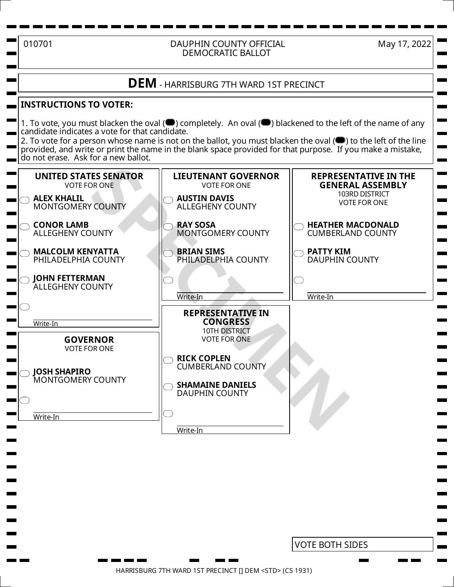## 010701 DAUPHIN COUNTY OFFICIAL DEMOCRATIC BALLOT

May 17, 2022

## **DEM** - HARRISBURG 7TH WARD 1ST PRECINCT

## **INSTRUCTIONS TO VOTER:**

1. To vote, you must blacken the oval (**•**) completely. An oval (•) blackened to the left of the name of any candidate indicates a vote for that candidate.

2. To vote for a person whose name is not on the ballot, you must blacken the oval  $($  ) to the left of the line provided, and write or print the name in the blank space provided for that purpose. If you make a mistake, do not erase. Ask for a new ballot.